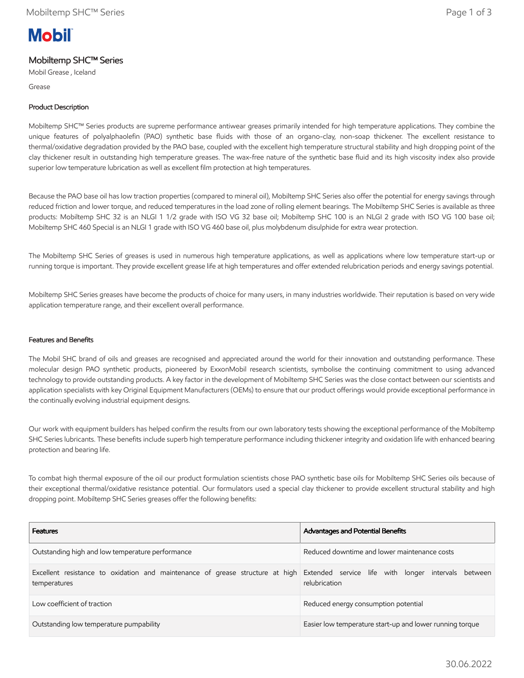# **Mobil**

# Mobiltemp SHC™ Series

Mobil Grease , Iceland

Grease

# Product Description

Mobiltemp SHC™ Series products are supreme performance antiwear greases primarily intended for high temperature applications. They combine the unique features of polyalphaolefin (PAO) synthetic base fluids with those of an organo-clay, non-soap thickener. The excellent resistance to thermal/oxidative degradation provided by the PAO base, coupled with the excellent high temperature structural stability and high dropping point of the clay thickener result in outstanding high temperature greases. The wax-free nature of the synthetic base fluid and its high viscosity index also provide superior low temperature lubrication as well as excellent film protection at high temperatures.

Because the PAO base oil has low traction properties (compared to mineral oil), Mobiltemp SHC Series also offer the potential for energy savings through reduced friction and lower torque, and reduced temperatures in the load zone of rolling element bearings. The Mobiltemp SHC Series is available as three products: Mobiltemp SHC 32 is an NLGI 1 1/2 grade with ISO VG 32 base oil; Mobiltemp SHC 100 is an NLGI 2 grade with ISO VG 100 base oil; Mobiltemp SHC 460 Special is an NLGI 1 grade with ISO VG 460 base oil, plus molybdenum disulphide for extra wear protection.

The Mobiltemp SHC Series of greases is used in numerous high temperature applications, as well as applications where low temperature start-up or running torque is important. They provide excellent grease life at high temperatures and offer extended relubrication periods and energy savings potential.

Mobiltemp SHC Series greases have become the products of choice for many users, in many industries worldwide. Their reputation is based on very wide application temperature range, and their excellent overall performance.

### Features and Benefits

The Mobil SHC brand of oils and greases are recognised and appreciated around the world for their innovation and outstanding performance. These molecular design PAO synthetic products, pioneered by ExxonMobil research scientists, symbolise the continuing commitment to using advanced technology to provide outstanding products. A key factor in the development of Mobiltemp SHC Series was the close contact between our scientists and application specialists with key Original Equipment Manufacturers (OEMs) to ensure that our product offerings would provide exceptional performance in the continually evolving industrial equipment designs.

Our work with equipment builders has helped confirm the results from our own laboratory tests showing the exceptional performance of the Mobiltemp SHC Series lubricants. These benefits include superb high temperature performance including thickener integrity and oxidation life with enhanced bearing protection and bearing life.

To combat high thermal exposure of the oil our product formulation scientists chose PAO synthetic base oils for Mobiltemp SHC Series oils because of their exceptional thermal/oxidative resistance potential. Our formulators used a special clay thickener to provide excellent structural stability and high dropping point. Mobiltemp SHC Series greases offer the following benefits:

| <b>Features</b>                                                                                                                                   | Advantages and Potential Benefits                        |  |  |  |
|---------------------------------------------------------------------------------------------------------------------------------------------------|----------------------------------------------------------|--|--|--|
| Outstanding high and low temperature performance                                                                                                  | Reduced downtime and lower maintenance costs             |  |  |  |
| Excellent resistance to oxidation and maintenance of grease structure at high Extended service life with longer intervals between<br>temperatures | relubrication                                            |  |  |  |
| Low coefficient of traction                                                                                                                       | Reduced energy consumption potential                     |  |  |  |
| Outstanding low temperature pumpability                                                                                                           | Easier low temperature start-up and lower running torque |  |  |  |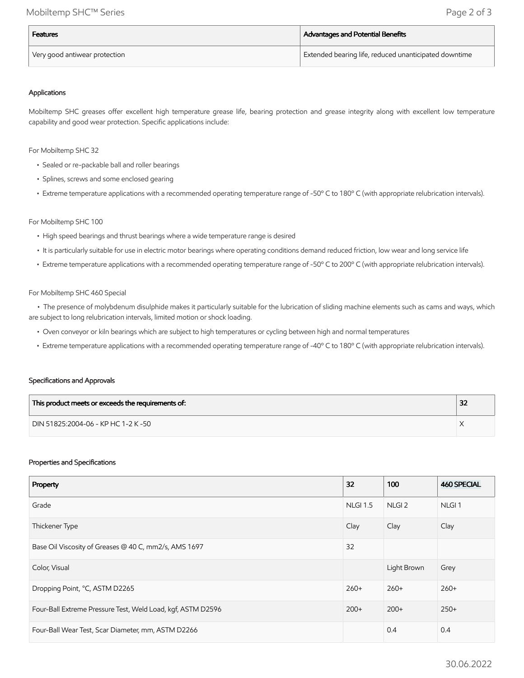| <b>Features</b>               | Advantages and Potential Benefits                                  |  |
|-------------------------------|--------------------------------------------------------------------|--|
| Very good antiwear protection | <sup>I</sup> Extended bearing life, reduced unanticipated downtime |  |

#### Applications

Mobiltemp SHC greases offer excellent high temperature grease life, bearing protection and grease integrity along with excellent low temperature capability and good wear protection. Specific applications include:

For Mobiltemp SHC 32

- Sealed or re-packable ball and roller bearings
- Splines, screws and some enclosed gearing
- Extreme temperature applications with a recommended operating temperature range of -50º C to 180º C (with appropriate relubrication intervals).

#### For Mobiltemp SHC 100

- High speed bearings and thrust bearings where a wide temperature range is desired
- It is particularly suitable for use in electric motor bearings where operating conditions demand reduced friction, low wear and long service life
- Extreme temperature applications with a recommended operating temperature range of -50º C to 200º C (with appropriate relubrication intervals).

#### For Mobiltemp SHC 460 Special

 • The presence of molybdenum disulphide makes it particularly suitable for the lubrication of sliding machine elements such as cams and ways, which are subject to long relubrication intervals, limited motion or shock loading.

- Oven conveyor or kiln bearings which are subject to high temperatures or cycling between high and normal temperatures
- Extreme temperature applications with a recommended operating temperature range of -40º C to 180º C (with appropriate relubrication intervals).

#### Specifications and Approvals

| This product meets or exceeds the requirements of: | 32 |
|----------------------------------------------------|----|
| DIN 51825:2004-06 - KP HC 1-2 K -50                |    |

#### Properties and Specifications

| Property                                                    | 32              | 100               | <b>460 SPECIAL</b> |
|-------------------------------------------------------------|-----------------|-------------------|--------------------|
| Grade                                                       | <b>NLGI 1.5</b> | NLGI <sub>2</sub> | NLGI <sub>1</sub>  |
| Thickener Type                                              | Clay            | Clay              | Clay               |
| Base Oil Viscosity of Greases @ 40 C, mm2/s, AMS 1697       | 32              |                   |                    |
| Color, Visual                                               |                 | Light Brown       | Grey               |
| Dropping Point, °C, ASTM D2265                              | $260+$          | $260+$            | $260+$             |
| Four-Ball Extreme Pressure Test, Weld Load, kgf, ASTM D2596 | $200+$          | $200+$            | $250+$             |
| Four-Ball Wear Test, Scar Diameter, mm, ASTM D2266          |                 | 0.4               | 0.4                |